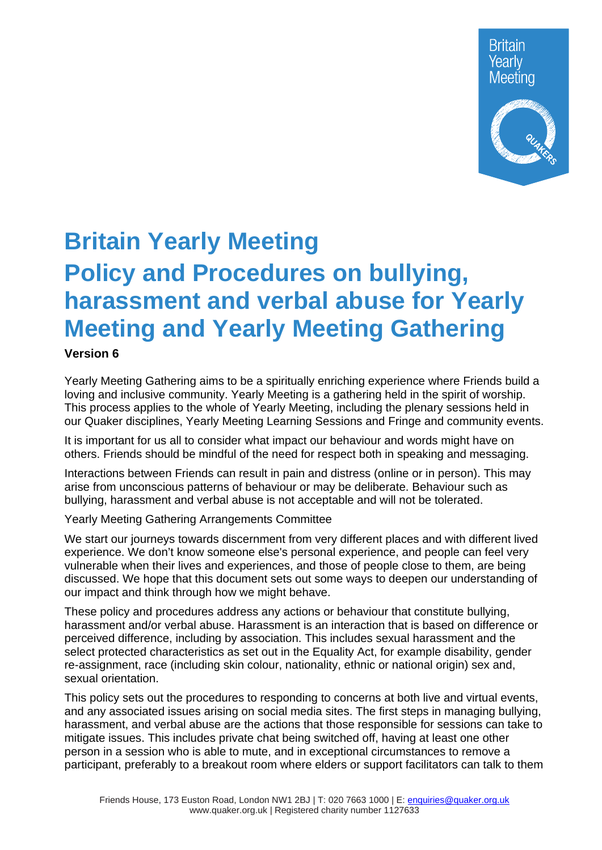

# **Britain Yearly Meeting Policy and Procedures on bullying, harassment and verbal abuse for Yearly Meeting and Yearly Meeting Gathering**

#### **Version 6**

Yearly Meeting Gathering aims to be a spiritually enriching experience where Friends build a loving and inclusive community. Yearly Meeting is a gathering held in the spirit of worship. This process applies to the whole of Yearly Meeting, including the plenary sessions held in our Quaker disciplines, Yearly Meeting Learning Sessions and Fringe and community events.

It is important for us all to consider what impact our behaviour and words might have on others. Friends should be mindful of the need for respect both in speaking and messaging.

Interactions between Friends can result in pain and distress (online or in person). This may arise from unconscious patterns of behaviour or may be deliberate. Behaviour such as bullying, harassment and verbal abuse is not acceptable and will not be tolerated.

Yearly Meeting Gathering Arrangements Committee

We start our journeys towards discernment from very different places and with different lived experience. We don't know someone else's personal experience, and people can feel very vulnerable when their lives and experiences, and those of people close to them, are being discussed. We hope that this document sets out some ways to deepen our understanding of our impact and think through how we might behave.

These policy and procedures address any actions or behaviour that constitute bullying, harassment and/or verbal abuse. Harassment is an interaction that is based on difference or perceived difference, including by association. This includes sexual harassment and the select protected characteristics as set out in the Equality Act, for example disability, gender re-assignment, race (including skin colour, nationality, ethnic or national origin) sex and, sexual orientation.

This policy sets out the procedures to responding to concerns at both live and virtual events, and any associated issues arising on social media sites. The first steps in managing bullying, harassment, and verbal abuse are the actions that those responsible for sessions can take to mitigate issues. This includes private chat being switched off, having at least one other person in a session who is able to mute, and in exceptional circumstances to remove a participant, preferably to a breakout room where elders or support facilitators can talk to them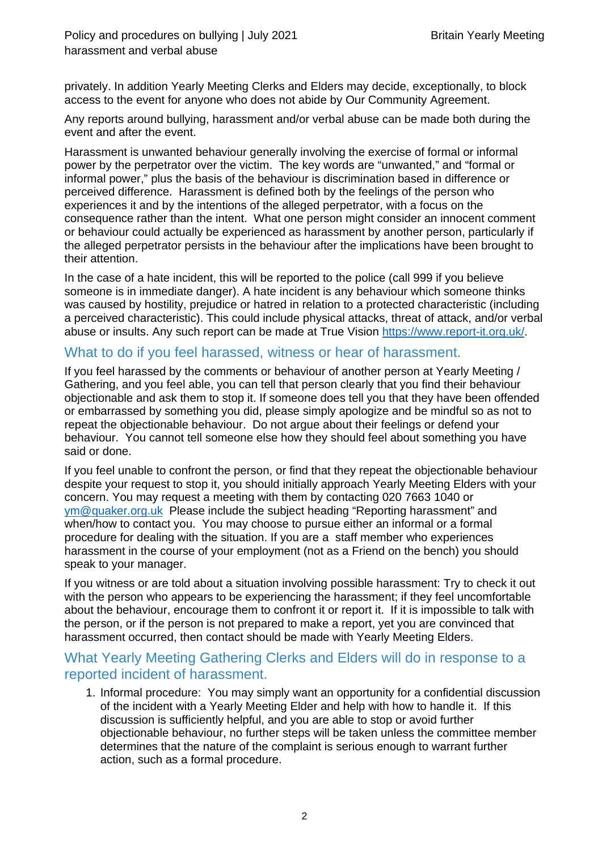privately. In addition Yearly Meeting Clerks and Elders may decide, exceptionally, to block access to the event for anyone who does not abide by Our Community Agreement.

Any reports around bullying, harassment and/or verbal abuse can be made both during the event and after the event.

Harassment is unwanted behaviour generally involving the exercise of formal or informal power by the perpetrator over the victim. The key words are "unwanted," and "formal or informal power," plus the basis of the behaviour is discrimination based in difference or perceived difference. Harassment is defined both by the feelings of the person who experiences it and by the intentions of the alleged perpetrator, with a focus on the consequence rather than the intent. What one person might consider an innocent comment or behaviour could actually be experienced as harassment by another person, particularly if the alleged perpetrator persists in the behaviour after the implications have been brought to their attention.

In the case of a hate incident, this will be reported to the police (call 999 if you believe someone is in immediate danger). A hate incident is any behaviour which someone thinks was caused by hostility, prejudice or hatred in relation to a protected characteristic (including a perceived characteristic). This could include physical attacks, threat of attack, and/or verbal abuse or insults. Any such report can be made at True Vision [https://www.report-it.org.uk/.](https://www.report-it.org.uk/)

# What to do if you feel harassed, witness or hear of harassment.

If you feel harassed by the comments or behaviour of another person at Yearly Meeting / Gathering, and you feel able, you can tell that person clearly that you find their behaviour objectionable and ask them to stop it. If someone does tell you that they have been offended or embarrassed by something you did, please simply apologize and be mindful so as not to repeat the objectionable behaviour. Do not argue about their feelings or defend your behaviour. You cannot tell someone else how they should feel about something you have said or done.

If you feel unable to confront the person, or find that they repeat the objectionable behaviour despite your request to stop it, you should initially approach Yearly Meeting Elders with your concern. You may request a meeting with them by contacting 020 7663 1040 or [ym@quaker.org.uk](mailto:ym@quaker.org.uk) Please include the subject heading "Reporting harassment" and when/how to contact you. You may choose to pursue either an informal or a formal procedure for dealing with the situation. If you are a staff member who experiences harassment in the course of your employment (not as a Friend on the bench) you should speak to your manager.

If you witness or are told about a situation involving possible harassment: Try to check it out with the person who appears to be experiencing the harassment; if they feel uncomfortable about the behaviour, encourage them to confront it or report it. If it is impossible to talk with the person, or if the person is not prepared to make a report, yet you are convinced that harassment occurred, then contact should be made with Yearly Meeting Elders.

## What Yearly Meeting Gathering Clerks and Elders will do in response to a reported incident of harassment.

1. Informal procedure: You may simply want an opportunity for a confidential discussion of the incident with a Yearly Meeting Elder and help with how to handle it. If this discussion is sufficiently helpful, and you are able to stop or avoid further objectionable behaviour, no further steps will be taken unless the committee member determines that the nature of the complaint is serious enough to warrant further action, such as a formal procedure.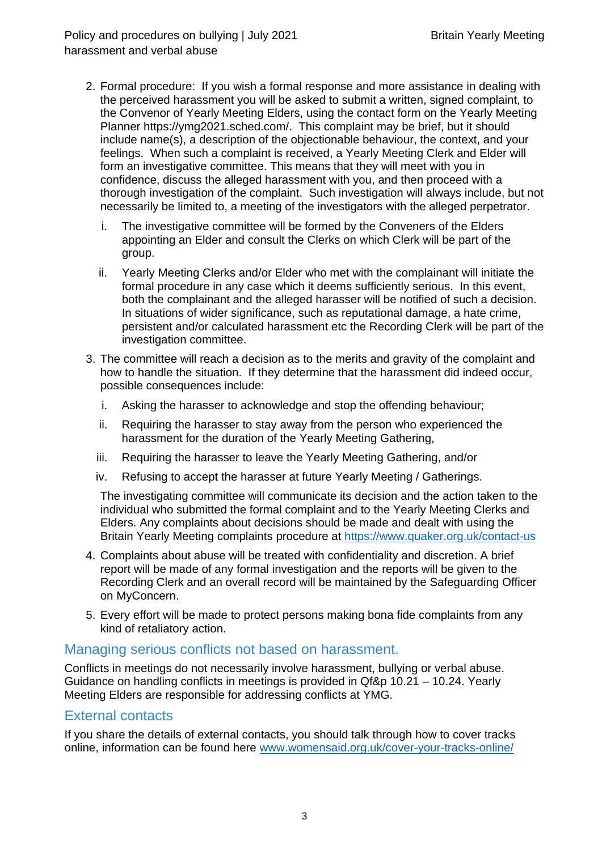- 2. Formal procedure: If you wish a formal response and more assistance in dealing with the perceived harassment you will be asked to submit a written, signed complaint, to the Convenor of Yearly Meeting Elders, using the contact form on the Yearly Meeting Planner https://ymg2021.sched.com/. This complaint may be brief, but it should include name(s), a description of the objectionable behaviour, the context, and your feelings. When such a complaint is received, a Yearly Meeting Clerk and Elder will form an investigative committee. This means that they will meet with you in confidence, discuss the alleged harassment with you, and then proceed with a thorough investigation of the complaint. Such investigation will always include, but not necessarily be limited to, a meeting of the investigators with the alleged perpetrator.
	- i. The investigative committee will be formed by the Conveners of the Elders appointing an Elder and consult the Clerks on which Clerk will be part of the group.
	- ii. Yearly Meeting Clerks and/or Elder who met with the complainant will initiate the formal procedure in any case which it deems sufficiently serious. In this event, both the complainant and the alleged harasser will be notified of such a decision. In situations of wider significance, such as reputational damage, a hate crime, persistent and/or calculated harassment etc the Recording Clerk will be part of the investigation committee.
- 3. The committee will reach a decision as to the merits and gravity of the complaint and how to handle the situation. If they determine that the harassment did indeed occur, possible consequences include:
	- i. Asking the harasser to acknowledge and stop the offending behaviour;
	- ii. Requiring the harasser to stay away from the person who experienced the harassment for the duration of the Yearly Meeting Gathering,
	- iii. Requiring the harasser to leave the Yearly Meeting Gathering, and/or
	- iv. Refusing to accept the harasser at future Yearly Meeting / Gatherings.

The investigating committee will communicate its decision and the action taken to the individual who submitted the formal complaint and to the Yearly Meeting Clerks and Elders. Any complaints about decisions should be made and dealt with using the Britain Yearly Meeting complaints procedure at<https://www.quaker.org.uk/contact-us>

- 4. Complaints about abuse will be treated with confidentiality and discretion. A brief report will be made of any formal investigation and the reports will be given to the Recording Clerk and an overall record will be maintained by the Safeguarding Officer on MyConcern.
- 5. Every effort will be made to protect persons making bona fide complaints from any kind of retaliatory action.

### Managing serious conflicts not based on harassment.

Conflicts in meetings do not necessarily involve harassment, bullying or verbal abuse. Guidance on handling conflicts in meetings is provided in Qf&p 10.21 – 10.24. Yearly Meeting Elders are responsible for addressing conflicts at YMG.

#### External contacts

If you share the details of external contacts, you should talk through how to cover tracks online, information can be found here [www.womensaid.org.uk/cover-your-tracks-online/](http://www.womensaid.org.uk/cover-your-tracks-online/)